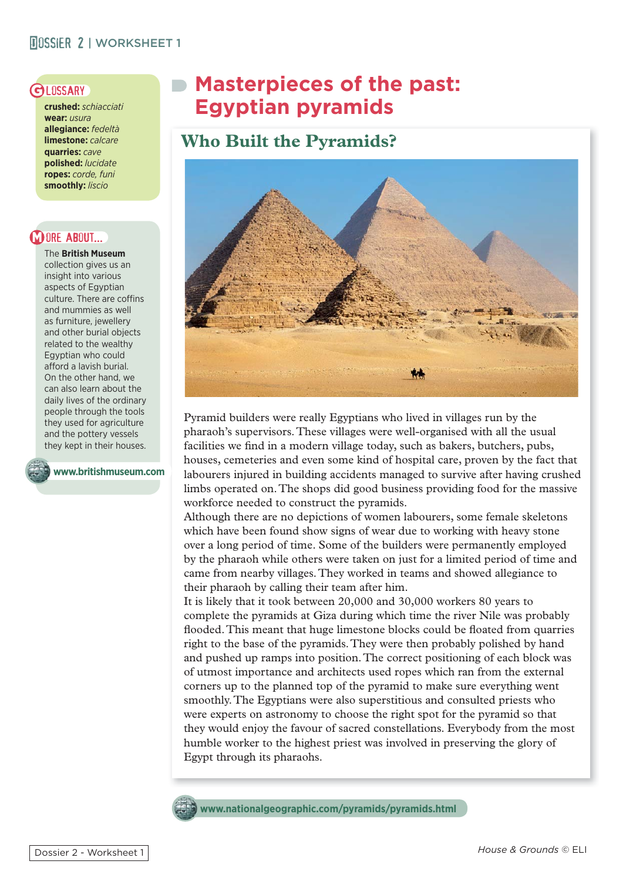#### **MOSSIER 2 | WORKSHEET 1**

**crushed:** *schiacciati* **wear:** *usura* **allegiance:** *fedeltà* **limestone:** *calcare* **quarries:** *cave* **polished:** *lucidate* **ropes:** *corde, funi* **smoothly:** *liscio*

#### **DORE ABOUT...**

The **British Museum** collection gives us an insight into various aspects of Egyptian culture. There are coffins and mummies as well as furniture, jewellery and other burial objects related to the wealthy Egyptian who could afford a lavish burial. On the other hand, we can also learn about the daily lives of the ordinary people through the tools they used for agriculture and the pottery vessels they kept in their houses.

**www.britishmuseum.com**

# GLOSSARY Masterpieces of the past:  **Egyptian pyramids**

## **Who Built the Pyramids?**



Pyramid builders were really Egyptians who lived in villages run by the pharaoh's supervisors. These villages were well-organised with all the usual facilities we find in a modern village today, such as bakers, butchers, pubs, houses, cemeteries and even some kind of hospital care, proven by the fact that labourers injured in building accidents managed to survive after having crushed limbs operated on. The shops did good business providing food for the massive workforce needed to construct the pyramids.

Although there are no depictions of women labourers, some female skeletons which have been found show signs of wear due to working with heavy stone over a long period of time. Some of the builders were permanently employed by the pharaoh while others were taken on just for a limited period of time and came from nearby villages. They worked in teams and showed allegiance to their pharaoh by calling their team after him.

It is likely that it took between 20,000 and 30,000 workers 80 years to complete the pyramids at Giza during which time the river Nile was probably flooded. This meant that huge limestone blocks could be floated from quarries right to the base of the pyramids. They were then probably polished by hand and pushed up ramps into position. The correct positioning of each block was of utmost importance and architects used ropes which ran from the external corners up to the planned top of the pyramid to make sure everything went smoothly. The Egyptians were also superstitious and consulted priests who were experts on astronomy to choose the right spot for the pyramid so that they would enjoy the favour of sacred constellations. Everybody from the most humble worker to the highest priest was involved in preserving the glory of Egypt through its pharaohs.

**www.nationalgeographic.com/pyramids/pyramids.html**